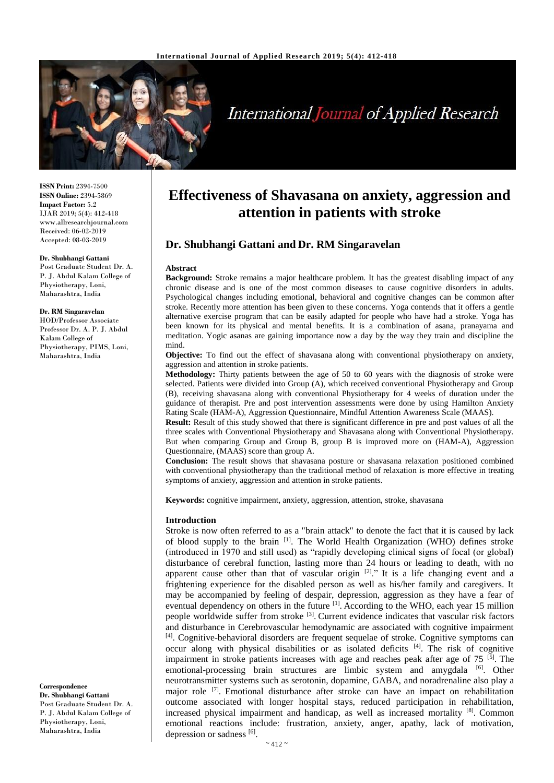

# **International Journal of Applied Research**

**ISSN Print:** 2394-7500 **ISSN Online:** 2394-5869 **Impact Factor:** 5.2 IJAR 2019; 5(4): 412-418 www.allresearchjournal.com Received: 06-02-2019 Accepted: 08-03-2019

#### **Dr. Shubhangi Gattani**

Post Graduate Student Dr. A. P. J. Abdul Kalam College of Physiotherapy, Loni, Maharashtra, India

#### **Dr. RM Singaravelan**

HOD/Professor Associate Professor Dr. A. P. J. Abdul Kalam College of Physiotherapy, PIMS, Loni, Maharashtra, India

**Correspondence Dr. Shubhangi Gattani** Post Graduate Student Dr. A. P. J. Abdul Kalam College of Physiotherapy, Loni, Maharashtra, India

## **Effectiveness of Shavasana on anxiety, aggression and attention in patients with stroke**

## **Dr. Shubhangi Gattani and Dr. RM Singaravelan**

#### **Abstract**

**Background:** Stroke remains a major healthcare problem. It has the greatest disabling impact of any chronic disease and is one of the most common diseases to cause cognitive disorders in adults. Psychological changes including emotional, behavioral and cognitive changes can be common after stroke. Recently more attention has been given to these concerns. Yoga contends that it offers a gentle alternative exercise program that can be easily adapted for people who have had a stroke. Yoga has been known for its physical and mental benefits. It is a combination of asana, pranayama and meditation. Yogic asanas are gaining importance now a day by the way they train and discipline the mind.

**Objective:** To find out the effect of shavasana along with conventional physiotherapy on anxiety, aggression and attention in stroke patients.

**Methodology:** Thirty patients between the age of 50 to 60 years with the diagnosis of stroke were selected. Patients were divided into Group (A), which received conventional Physiotherapy and Group (B), receiving shavasana along with conventional Physiotherapy for 4 weeks of duration under the guidance of therapist. Pre and post intervention assessments were done by using Hamilton Anxiety Rating Scale (HAM-A), Aggression Questionnaire, Mindful Attention Awareness Scale (MAAS).

**Result:** Result of this study showed that there is significant difference in pre and post values of all the three scales with Conventional Physiotherapy and Shavasana along with Conventional Physiotherapy. But when comparing Group and Group B, group B is improved more on (HAM-A), Aggression Questionnaire, (MAAS) score than group A.

**Conclusion:** The result shows that shavasana posture or shavasana relaxation positioned combined with conventional physiotherapy than the traditional method of relaxation is more effective in treating symptoms of anxiety, aggression and attention in stroke patients.

**Keywords:** cognitive impairment, anxiety, aggression, attention, stroke, shavasana

#### **Introduction**

Stroke is now often referred to as a "brain attack" to denote the fact that it is caused by lack of blood supply to the brain [1]. The World Health Organization (WHO) defines stroke (introduced in 1970 and still used) as "rapidly developing clinical signs of focal (or global) disturbance of cerebral function, lasting more than 24 hours or leading to death, with no apparent cause other than that of vascular origin <sup>[2]</sup>." It is a life changing event and a frightening experience for the disabled person as well as his/her family and caregivers. It may be accompanied by feeling of despair, depression, aggression as they have a fear of eventual dependency on others in the future <sup>[1]</sup>. According to the WHO, each year 15 million people worldwide suffer from stroke <sup>[3]</sup>. Current evidence indicates that vascular risk factors and disturbance in Cerebrovascular hemodynamic are associated with cognitive impairment [4]. Cognitive-behavioral disorders are frequent sequelae of stroke. Cognitive symptoms can occur along with physical disabilities or as isolated deficits [4] . The risk of cognitive impairment in stroke patients increases with age and reaches peak after age of  $75$  <sup>[5]</sup>. The emotional-processing brain structures are limbic system and amygdala <sup>[6]</sup>. Other neurotransmitter systems such as serotonin, dopamine, GABA, and noradrenaline also play a major role <sup>[7]</sup>. Emotional disturbance after stroke can have an impact on rehabilitation outcome associated with longer hospital stays, reduced participation in rehabilitation, increased physical impairment and handicap, as well as increased mortality [8]. Common emotional reactions include: frustration, anxiety, anger, apathy, lack of motivation, depression or sadness [6].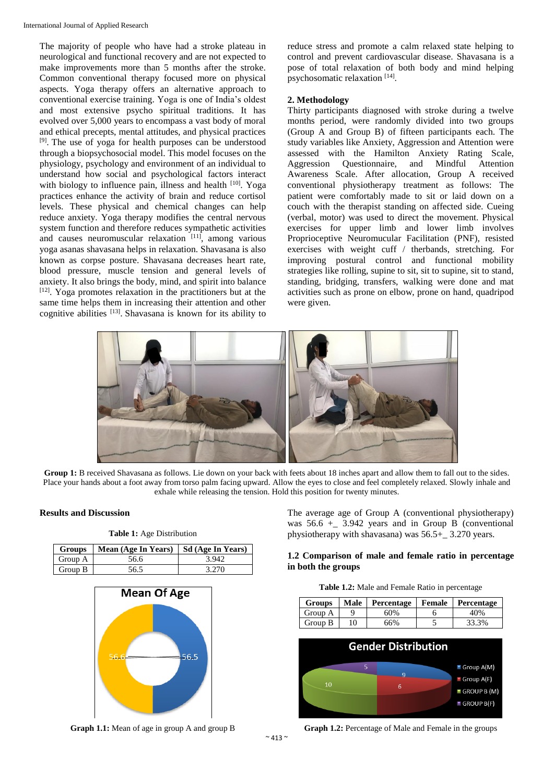The majority of people who have had a stroke plateau in neurological and functional recovery and are not expected to make improvements more than 5 months after the stroke. Common conventional therapy focused more on physical aspects. Yoga therapy offers an alternative approach to conventional exercise training. Yoga is one of India's oldest and most extensive psycho spiritual traditions. It has evolved over 5,000 years to encompass a vast body of moral and ethical precepts, mental attitudes, and physical practices [9]. The use of yoga for health purposes can be understood through a biopsychosocial model. This model focuses on the physiology, psychology and environment of an individual to understand how social and psychological factors interact with biology to influence pain, illness and health  $[10]$ . Yoga practices enhance the activity of brain and reduce cortisol levels. These physical and chemical changes can help reduce anxiety. Yoga therapy modifies the central nervous system function and therefore reduces sympathetic activities and causes neuromuscular relaxation [11], among various yoga asanas shavasana helps in relaxation. Shavasana is also known as corpse posture. Shavasana decreases heart rate, blood pressure, muscle tension and general levels of anxiety. It also brings the body, mind, and spirit into balance  $[12]$ . Yoga promotes relaxation in the practitioners but at the same time helps them in increasing their attention and other cognitive abilities [13]. Shavasana is known for its ability to reduce stress and promote a calm relaxed state helping to control and prevent cardiovascular disease. Shavasana is a pose of total relaxation of both body and mind helping psychosomatic relaxation [14].

#### **2. Methodology**

Thirty participants diagnosed with stroke during a twelve months period, were randomly divided into two groups (Group A and Group B) of fifteen participants each. The study variables like Anxiety, Aggression and Attention were assessed with the Hamilton Anxiety Rating Scale, Aggression Questionnaire, and Mindful Attention Awareness Scale. After allocation, Group A received conventional physiotherapy treatment as follows: The patient were comfortably made to sit or laid down on a couch with the therapist standing on affected side. Cueing (verbal, motor) was used to direct the movement. Physical exercises for upper limb and lower limb involves Proprioceptive Neuromucular Facilitation (PNF), resisted exercises with weight cuff / therbands, stretching. For improving postural control and functional mobility strategies like rolling, supine to sit, sit to supine, sit to stand, standing, bridging, transfers, walking were done and mat activities such as prone on elbow, prone on hand, quadripod were given.



**Group 1:** B received Shavasana as follows. Lie down on your back with feets about 18 inches apart and allow them to fall out to the sides. Place your hands about a foot away from torso palm facing upward. Allow the eyes to close and feel completely relaxed. Slowly inhale and exhale while releasing the tension. Hold this position for twenty minutes.

#### **Results and Discussion**

| <b>Table 1:</b> Age Distribution |                     |                   |  |  |  |  |  |  |
|----------------------------------|---------------------|-------------------|--|--|--|--|--|--|
| <b>Groups</b>                    | Mean (Age In Years) | Sd (Age In Years) |  |  |  |  |  |  |
| Group A                          | 56.6                | 3.942             |  |  |  |  |  |  |
| Group B                          | 56.5                | 3.270             |  |  |  |  |  |  |
|                                  |                     |                   |  |  |  |  |  |  |



**Graph 1.1:** Mean of age in group A and group B

The average age of Group A (conventional physiotherapy) was  $56.6 +$  3.942 years and in Group B (conventional physiotherapy with shavasana) was 56.5+\_ 3.270 years.

### **1.2 Comparison of male and female ratio in percentage in both the groups**

| Table 1.2: Male and Female Ratio in percentage |
|------------------------------------------------|
|------------------------------------------------|

| Groups  | <b>Male</b> | Percentage   Female   Percentage |       |
|---------|-------------|----------------------------------|-------|
| Group A |             | 60%                              | 40%   |
| Group B | 10          | 66%                              | 33.3% |



**Graph 1.2:** Percentage of Male and Female in the groups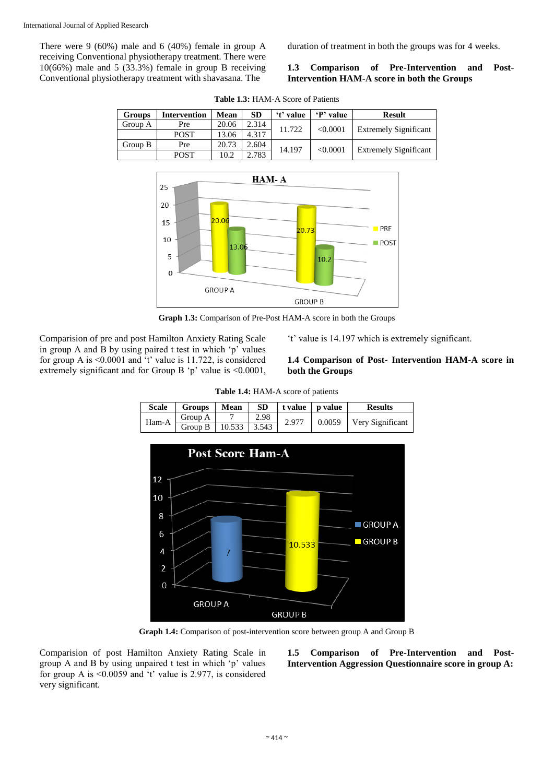There were 9 (60%) male and 6 (40%) female in group A receiving Conventional physiotherapy treatment. There were  $10(66%)$  male and 5 (33.3%) female in group B receiving Conventional physiotherapy treatment with shavasana. The

duration of treatment in both the groups was for 4 weeks.

#### **1.3 Comparison of Pre-Intervention and Post-Intervention HAM-A score in both the Groups**

| Groups  | <b>Intervention</b> | Mean  | <b>SD</b> | 't' value | P' value | <b>Result</b>                |
|---------|---------------------|-------|-----------|-----------|----------|------------------------------|
| Group A | Pre                 | 20.06 | 2.314     | 11.722    | < 0.0001 | <b>Extremely Significant</b> |
|         | <b>POST</b>         | 13.06 | 4.317     |           |          |                              |
| Group B | Pre                 | 20.73 | 2.604     |           |          |                              |
|         | <b>POST</b>         | 10.2  | 2.783     | 14.197    | < 0.0001 | <b>Extremely Significant</b> |





**Graph 1.3:** Comparison of Pre-Post HAM-A score in both the Groups

Comparision of pre and post Hamilton Anxiety Rating Scale in group A and B by using paired t test in which 'p' values for group A is <0.0001 and 't' value is 11.722, is considered extremely significant and for Group B 'p' value is <0.0001, 't' value is 14.197 which is extremely significant.

## **1.4 Comparison of Post- Intervention HAM-A score in both the Groups**

| 2.98<br>Group A<br>Ham-A<br>0.0059   Very Significant<br>2.977<br>Group B 10.533 3.543 | <b>Scale</b> | <b>Groups</b> | <b>Mean</b> | SD. | $\vert$ t value $\vert$ p value | <b>Results</b> |
|----------------------------------------------------------------------------------------|--------------|---------------|-------------|-----|---------------------------------|----------------|
|                                                                                        |              |               |             |     |                                 |                |
|                                                                                        |              |               |             |     |                                 |                |

**Table 1.4:** HAM-A score of patients



**Graph 1.4:** Comparison of post-intervention score between group A and Group B

Comparision of post Hamilton Anxiety Rating Scale in group A and B by using unpaired t test in which 'p' values for group A is <0.0059 and 't' value is 2.977, is considered very significant.

**1.5 Comparison of Pre-Intervention and Post-Intervention Aggression Questionnaire score in group A:**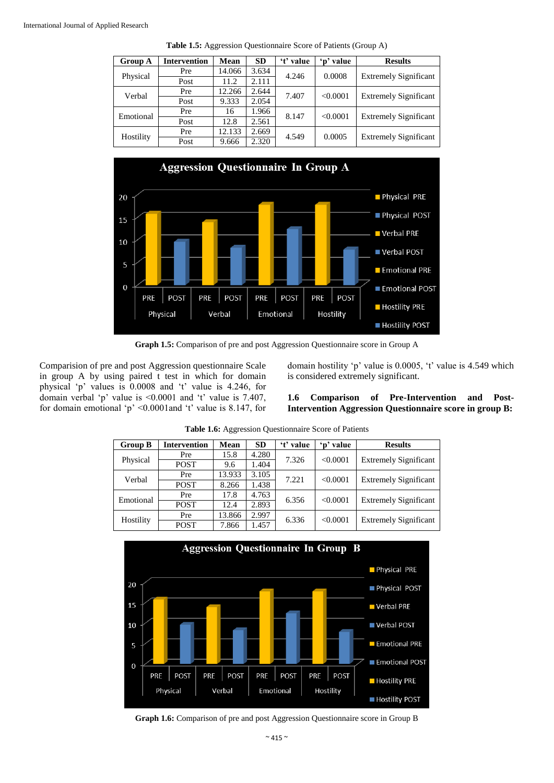| <b>Group A</b> | <b>Intervention</b> | Mean   | <b>SD</b> | 't' value | 'n' value | <b>Results</b>               |
|----------------|---------------------|--------|-----------|-----------|-----------|------------------------------|
| Physical       | Pre                 | 14.066 | 3.634     | 4.246     | 0.0008    |                              |
|                | Post                | 11.2   | 2.111     |           |           | <b>Extremely Significant</b> |
| Verbal         | Pre                 | 12.266 | 2.644     | 7.407     |           |                              |
|                | Post                | 9.333  | 2.054     |           | < 0.0001  | <b>Extremely Significant</b> |
| Emotional      | Pre                 | 16     | 1.966     |           | < 0.0001  | <b>Extremely Significant</b> |
|                | Post                | 12.8   | 2.561     | 8.147     |           |                              |
| Hostility      | Pre                 | 12.133 | 2.669     |           |           | <b>Extremely Significant</b> |
|                | Post                | 9.666  | 2.320     | 4.549     | 0.0005    |                              |

**Table 1.5:** Aggression Questionnaire Score of Patients (Group A)



**Graph 1.5:** Comparison of pre and post Aggression Questionnaire score in Group A

Comparision of pre and post Aggression questionnaire Scale in group A by using paired t test in which for domain physical 'p' values is 0.0008 and 't' value is 4.246, for domain verbal 'p' value is <0.0001 and 't' value is 7.407, for domain emotional 'p' <0.0001and 't' value is 8.147, for domain hostility 'p' value is 0.0005, 't' value is 4.549 which is considered extremely significant.

**1.6 Comparison of Pre-Intervention and Post-Intervention Aggression Questionnaire score in group B:**

| <b>Group B</b> | <b>Intervention</b> | Mean   | <b>SD</b> | 't' value | 'n' value | <b>Results</b>               |
|----------------|---------------------|--------|-----------|-----------|-----------|------------------------------|
|                | Pre                 | 15.8   | 4.280     | 7.326     | < 0.0001  |                              |
| Physical       | <b>POST</b>         | 9.6    | 1.404     |           |           | <b>Extremely Significant</b> |
| Verbal         | Pre                 | 13.933 | 3.105     | 7.221     | < 0.0001  | <b>Extremely Significant</b> |
|                | <b>POST</b>         | 8.266  | 1.438     |           |           |                              |
| Emotional      | Pre                 | 17.8   | 4.763     | 6.356     | < 0.0001  | <b>Extremely Significant</b> |
|                | <b>POST</b>         | 12.4   | 2.893     |           |           |                              |
| Hostility      | Pre                 | 13.866 | 2.997     |           | < 0.0001  | <b>Extremely Significant</b> |
|                | <b>POST</b>         | 7.866  | 1.457     | 6.336     |           |                              |

**Table 1.6:** Aggression Questionnaire Score of Patients



**Graph 1.6:** Comparison of pre and post Aggression Questionnaire score in Group B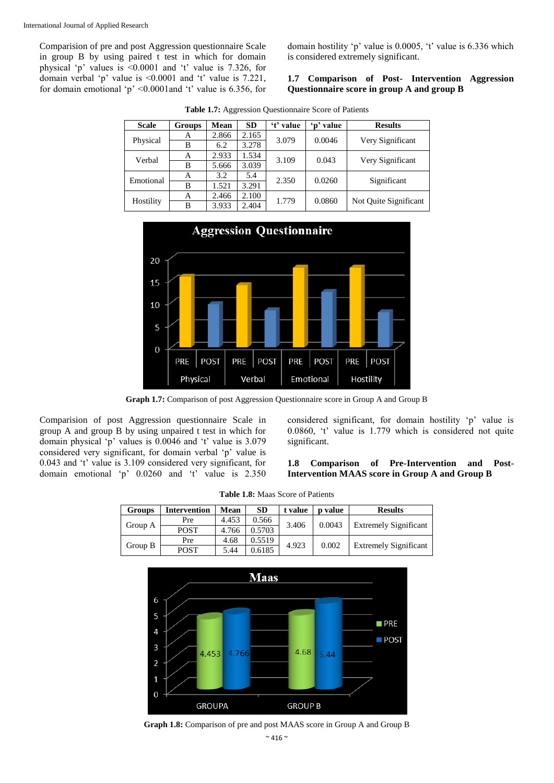Comparision of pre and post Aggression questionnaire Scale in group B by using paired t test in which for domain physical 'p' values is <0.0001 and 't' value is 7.326, for domain verbal 'p' value is <0.0001 and 't' value is 7.221, for domain emotional 'p'  $\leq 0.0001$  and 't' value is 6.356, for

domain hostility 'p' value is 0.0005, 't' value is 6.336 which is considered extremely significant.

#### **1.7 Comparison of Post- Intervention Aggression Questionnaire score in group A and group B**

| <b>Scale</b> | Groups | Mean  | <b>SD</b> | 't' value | 'p' value       | <b>Results</b>        |
|--------------|--------|-------|-----------|-----------|-----------------|-----------------------|
|              | А      | 2.866 | 2.165     | 3.079     | 0.0046          |                       |
| Physical     | В      | 6.2   | 3.278     |           |                 | Very Significant      |
| Verbal       | А      | 2.933 | 1.534     | 3.109     | 0.043           | Very Significant      |
|              | В      | 5.666 | 3.039     |           |                 |                       |
| Emotional    | A      | 3.2   | 5.4       |           | 2.350<br>0.0260 | Significant           |
|              | В      | 1.521 | 3.291     |           |                 |                       |
|              | A      | 2.466 | 2.100     | 1.779     | 0.0860          | Not Quite Significant |
| Hostility    | В      | 3.933 | 2.404     |           |                 |                       |

**Table 1.7:** Aggression Questionnaire Score of Patients



**Graph 1.7:** Comparison of post Aggression Questionnaire score in Group A and Group B

Comparision of post Aggression questionnaire Scale in group A and group B by using unpaired t test in which for domain physical 'p' values is 0.0046 and 't' value is 3.079 considered very significant, for domain verbal 'p' value is 0.043 and 't' value is 3.109 considered very significant, for domain emotional 'p' 0.0260 and 't' value is 2.350

considered significant, for domain hostility 'p' value is 0.0860, 't' value is 1.779 which is considered not quite significant.

#### **1.8 Comparison of Pre-Intervention and Post-Intervention MAAS score in Group A and Group B**

| <b>Groups</b> | <b>Intervention</b>                     | <b>Mean</b>     | <b>SD</b> | t value | <b>p</b> value               | <b>Results</b>               |
|---------------|-----------------------------------------|-----------------|-----------|---------|------------------------------|------------------------------|
|               | Pre                                     | 4.453           | 0.566     | 3.406   | 0.0043                       | <b>Extremely Significant</b> |
| Group A       | <b>POST</b>                             | 0.5703<br>4.766 |           |         |                              |                              |
|               | 0.5519<br>4.68<br>Pre<br>4.923<br>0.002 |                 |           |         |                              |                              |
| Group B       | POST                                    | 0.6185<br>5.44  |           |         | <b>Extremely Significant</b> |                              |



**Graph 1.8:** Comparison of pre and post MAAS score in Group A and Group B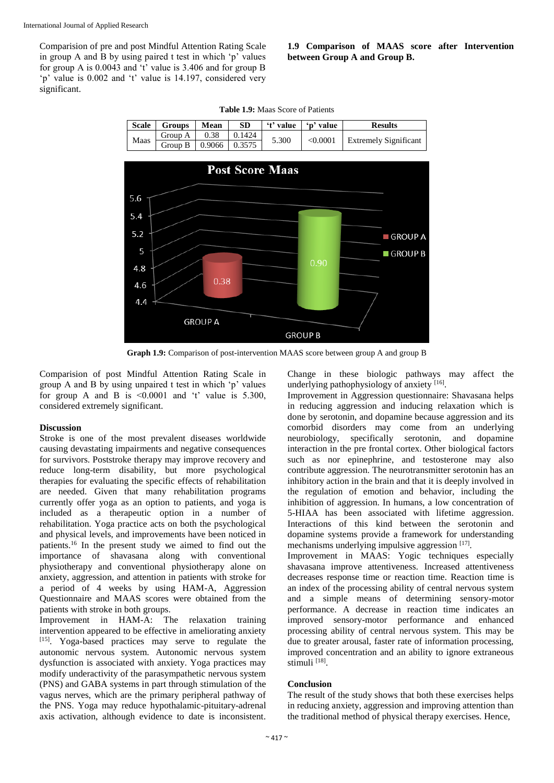Comparision of pre and post Mindful Attention Rating Scale in group A and B by using paired t test in which 'p' values for group A is 0.0043 and 't' value is 3.406 and for group B 'p' value is 0.002 and 't' value is 14.197, considered very significant.

### **1.9 Comparison of MAAS score after Intervention between Group A and Group B.**

| <b>Scale</b> | Groups                              | Mean | <b>SD</b> | $\mathbf{f}$ t' value $\mathbf{f}$ 'n' value |          | <b>Results</b>               |
|--------------|-------------------------------------|------|-----------|----------------------------------------------|----------|------------------------------|
| Maas         | Group A $\vert$ 0.38 $\vert$ 0.1424 |      |           | 5.300                                        | < 0.0001 | <b>Extremely Significant</b> |
|              | Group B   $0.9066$   $0.3575$       |      |           |                                              |          |                              |



**Graph 1.9:** Comparison of post-intervention MAAS score between group A and group B

Comparision of post Mindful Attention Rating Scale in group A and B by using unpaired t test in which 'p' values for group A and B is  $\leq 0.0001$  and 't' value is 5.300, considered extremely significant.

### **Discussion**

Stroke is one of the most prevalent diseases worldwide causing devastating impairments and negative consequences for survivors. Poststroke therapy may improve recovery and reduce long-term disability, but more psychological therapies for evaluating the specific effects of rehabilitation are needed. Given that many rehabilitation programs currently offer yoga as an option to patients, and yoga is included as a therapeutic option in a number of rehabilitation. Yoga practice acts on both the psychological and physical levels, and improvements have been noticed in patients.<sup>16</sup> In the present study we aimed to find out the importance of shavasana along with conventional physiotherapy and conventional physiotherapy alone on anxiety, aggression, and attention in patients with stroke for a period of 4 weeks by using HAM-A, Aggression Questionnaire and MAAS scores were obtained from the patients with stroke in both groups.

Improvement in HAM-A: The relaxation training intervention appeared to be effective in ameliorating anxiety [15]. Yoga-based practices may serve to regulate the autonomic nervous system. Autonomic nervous system dysfunction is associated with anxiety. Yoga practices may modify underactivity of the parasympathetic nervous system (PNS) and GABA systems in part through stimulation of the vagus nerves, which are the primary peripheral pathway of the PNS. Yoga may reduce hypothalamic-pituitary-adrenal axis activation, although evidence to date is inconsistent.

Change in these biologic pathways may affect the underlying pathophysiology of anxiety [16].

Improvement in Aggression questionnaire: Shavasana helps in reducing aggression and inducing relaxation which is done by serotonin, and dopamine because aggression and its comorbid disorders may come from an underlying neurobiology, specifically serotonin, and dopamine interaction in the pre frontal cortex. Other biological factors such as nor epinephrine, and testosterone may also contribute aggression. The neurotransmitter serotonin has an inhibitory action in the brain and that it is deeply involved in the regulation of emotion and behavior, including the inhibition of aggression. In humans, a low concentration of 5-HIAA has been associated with lifetime aggression. Interactions of this kind between the serotonin and dopamine systems provide a framework for understanding mechanisms underlying impulsive aggression  $[17]$ .

Improvement in MAAS: Yogic techniques especially shavasana improve attentiveness. Increased attentiveness decreases response time or reaction time. Reaction time is an index of the processing ability of central nervous system and a simple means of determining sensory-motor performance. A decrease in reaction time indicates an improved sensory-motor performance and enhanced processing ability of central nervous system. This may be due to greater arousal, faster rate of information processing, improved concentration and an ability to ignore extraneous stimuli [18].

### **Conclusion**

The result of the study shows that both these exercises helps in reducing anxiety, aggression and improving attention than the traditional method of physical therapy exercises. Hence,